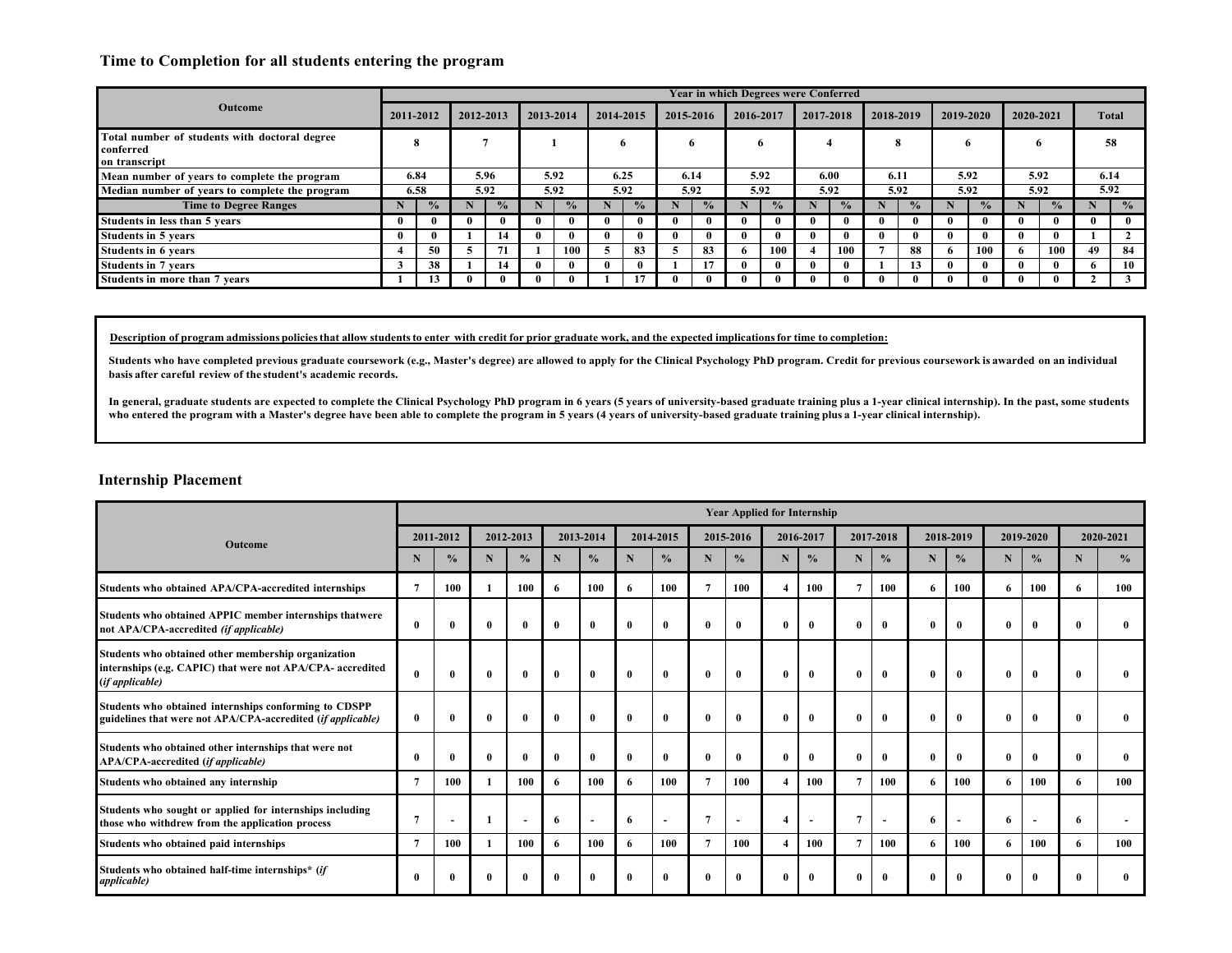## **Time to Completion for all students entering the program**

| <b>Outcome</b>                                                              |      |               |      |               |      |               |      |               |              |               |              |                    | <b>Year in which Degrees were Conferred</b> |               |           |               |      |               |  |               |      |               |
|-----------------------------------------------------------------------------|------|---------------|------|---------------|------|---------------|------|---------------|--------------|---------------|--------------|--------------------|---------------------------------------------|---------------|-----------|---------------|------|---------------|--|---------------|------|---------------|
|                                                                             |      | 2011-2012     |      | 2012-2013     |      | 2013-2014     |      | 2014-2015     |              | 2015-2016     |              | 2016-2017          |                                             | 2017-2018     |           | 2018-2019     |      | 2019-2020     |  | 2020-2021     |      | <b>Total</b>  |
| Total number of students with doctoral degree<br>conferred<br>on transcript |      | л             |      |               |      | 6             |      |               | o            |               | o            |                    |                                             |               | $\bullet$ |               | o    |               |  |               | 58   |               |
| Mean number of years to complete the program                                | 6.84 |               | 5.96 |               | 5.92 |               | 6.25 |               |              | 5.92<br>6.14  |              |                    | 6.00                                        | 6.11          |           | 5.92          |      | 5.92          |  | 6.14          |      |               |
| Median number of years to complete the program                              | 6.58 |               |      | 5.92          |      | 5.92          | 5.92 |               |              | 5.92          |              | 5.92               |                                             | 5.92          | 5.92      |               | 5.92 |               |  | 5.92          | 5.92 |               |
| <b>Time to Degree Ranges</b>                                                |      | $\frac{0}{2}$ |      | $\frac{1}{2}$ |      | $\frac{0}{2}$ | N    | $\frac{0}{2}$ |              | $\frac{0}{2}$ |              | $\frac{0}{\alpha}$ |                                             | $\frac{0}{0}$ |           | $\frac{0}{2}$ |      | $\frac{0}{2}$ |  | $\frac{0}{2}$ |      | $\frac{0}{0}$ |
| Students in less than 5 years                                               |      |               |      | $\mathbf{u}$  | 0    |               |      |               | $\mathbf{0}$ |               |              | $\mathbf{0}$       | $\mathbf{u}$                                |               |           | $\mathbf{0}$  |      | 0             |  | 0             |      |               |
| <b>Students in 5 years</b>                                                  |      | $\mathbf{u}$  |      | 14            | 0    |               |      |               | $\mathbf{0}$ |               | $\mathbf{r}$ | $\mathbf{0}$       | $\mathbf{u}$                                |               |           | $\mathbf{0}$  |      | 0             |  | 0             |      |               |
| <b>Students in 6 years</b>                                                  |      | 50            |      |               |      | 100           |      | 83            | э            | 83            | 6.           | 100                |                                             | 100           |           | 88            |      | 100           |  | 100           | 49   | 84            |
| <b>Students in 7 years</b>                                                  |      | 38            |      | 14            | 0    |               |      |               |              |               |              | $\mathbf{0}$       | 0                                           |               |           | 13            |      | 0             |  | $\mathbf{0}$  |      | 10            |
| Students in more than 7 years                                               |      | 13            |      | $^{\circ}$    | 0    |               |      |               | $\mathbf{0}$ |               | $\mathbf{0}$ | $\mathbf{0}$       | 0                                           |               |           | $\mathbf{0}$  |      | 0             |  | $\mathbf{0}$  |      |               |

Description of program admissions policies that allow students to enter with credit for prior graduate work, and the expected implications for time to completion:

Students who have completed previous graduate coursework (e.g., Master's degree) are allowed to apply for the Clinical Psychology PhD program. Credit for previous coursework is awarded on an individual **basis after careful review of the student's academic records.**

In general, graduate students are expected to complete the Clinical Psychology PhD program in 6 years (5 years of university-based graduate training plus a 1-year clinical internship). In the past, some students who entered the program with a Master's degree have been able to complete the program in 5 years (4 years of university-based graduate training plus a 1-year clinical internship).

#### **Internship Placement**

|                                                                                                                                      | <b>Year Applied for Internship</b> |                          |           |               |              |               |              |                          |              |               |              |                          |                |               |              |                |           |               |           |               |
|--------------------------------------------------------------------------------------------------------------------------------------|------------------------------------|--------------------------|-----------|---------------|--------------|---------------|--------------|--------------------------|--------------|---------------|--------------|--------------------------|----------------|---------------|--------------|----------------|-----------|---------------|-----------|---------------|
| <b>Outcome</b>                                                                                                                       | 2011-2012                          |                          | 2012-2013 |               | 2013-2014    |               | 2014-2015    |                          | 2015-2016    |               | 2016-2017    |                          | 2017-2018      |               | 2018-2019    |                | 2019-2020 |               | 2020-2021 |               |
|                                                                                                                                      |                                    | $\frac{0}{0}$            | N         | $\frac{0}{0}$ | N            | $\frac{0}{0}$ | N            | $\frac{0}{0}$            | N            | $\frac{0}{0}$ | N.           | $\frac{0}{0}$            | N              | $\frac{0}{0}$ | N            | $\frac{0}{0}$  | N         | $\frac{0}{0}$ | N         | $\frac{0}{0}$ |
| Students who obtained APA/CPA-accredited internships                                                                                 |                                    | 100                      |           | 100           | 6            | 100           | 6            | 100                      | 7            | 100           |              | 100                      | $\mathbf{z}$   | 100           | 6            | 100            | 6         | 100           | 6         | 100           |
| Students who obtained APPIC member internships thatwere<br>not APA/CPA-accredited (if applicable)                                    |                                    | $\mathbf{0}$             | 0         |               |              |               | 0            | 0                        |              | $\mathbf{0}$  | 0            |                          |                | $\theta$      | $\theta$     |                |           |               |           |               |
| Students who obtained other membership organization<br>internships (e.g. CAPIC) that were not APA/CPA- accredited<br>(if applicable) | 0                                  | $\mathbf{0}$             | 0         | $\mathbf{0}$  | $\mathbf{0}$ | $\mathbf{0}$  | $\mathbf{0}$ | $\mathbf{0}$             | $\mathbf{0}$ | $\mathbf{0}$  | $\mathbf{0}$ |                          |                | $\theta$      | $\mathbf{0}$ | $\mathbf{0}$   | 0         |               |           |               |
| Students who obtained internships conforming to CDSPP<br>guidelines that were not APA/CPA-accredited (if applicable)                 | 0                                  | $\mathbf{0}$             | 0         | $\mathbf{0}$  |              | $\mathbf{0}$  | 0            | $\mathbf{0}$             | $\mathbf{0}$ | $\mathbf{0}$  | $\mathbf{0}$ |                          | 0              | $\theta$      | $\mathbf{0}$ | $\mathbf{0}$   | 0         |               | 0         |               |
| Students who obtained other internships that were not<br>APA/CPA-accredited (if applicable)                                          |                                    | $\mathbf{0}$             | 0         | $\mathbf{0}$  |              | $\mathbf{0}$  | 0            | $\mathbf{0}$             | $\mathbf{0}$ | $\mathbf{0}$  | $\mathbf{0}$ |                          |                | $\theta$      | $\mathbf{0}$ | 0              | o         |               |           |               |
| Students who obtained any internship                                                                                                 |                                    | 100                      |           | 100           | 6            | 100           | 6            | 100                      | 7            | 100           | 4            | 100                      | $\overline{7}$ | 100           | 6            | 100            | 6.        | 100           | 6.        | 100           |
| Students who sought or applied for internships including<br>those who withdrew from the application process                          |                                    | $\overline{\phantom{0}}$ |           |               | 6            | $\sim$        | 6            | $\overline{\phantom{a}}$ |              | ÷             | 4            | $\overline{\phantom{a}}$ |                | $\sim$        | 6            | $\blacksquare$ | 6.        |               | 6         |               |
| Students who obtained paid internships                                                                                               |                                    | 100                      |           | 100           | 6            | 100           | 6            | 100                      | 7            | 100           | 4            | 100                      | $\overline{7}$ | 100           | 6            | 100            | 6.        | 100           | 6.        | 100           |
| Students who obtained half-time internships* (if<br><i>applicable</i> )                                                              |                                    |                          |           |               |              |               |              | $\mathbf{0}$             |              | $\mathbf{0}$  | $\mathbf{0}$ |                          |                | $\mathbf{0}$  | $\mathbf{0}$ |                |           |               |           |               |